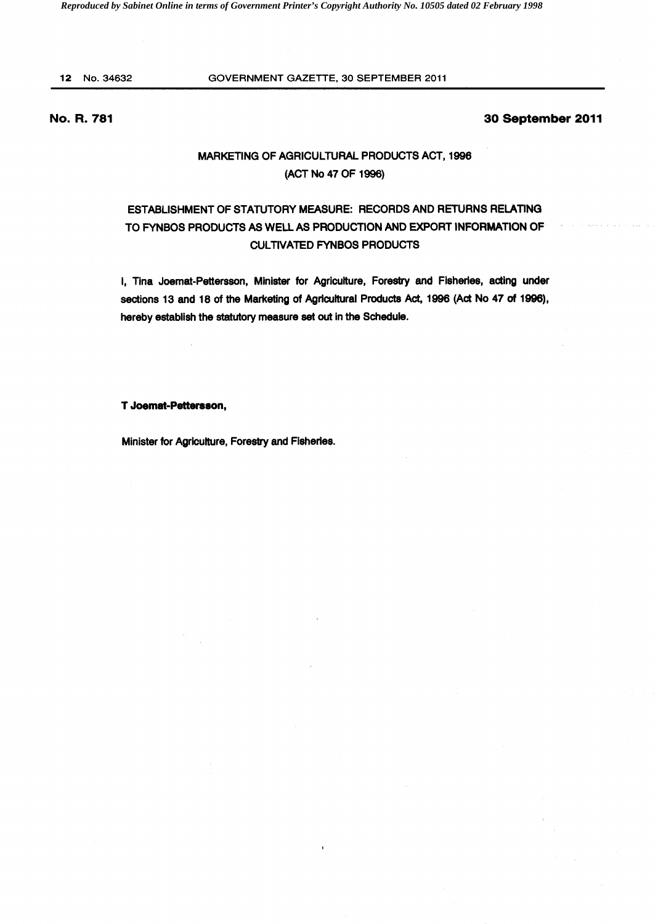# 12 No.34632 GOVERNMENT GAZETTE, 30 SEPTEMBER 2011

# No. R. 781

## 30 September 2011

# MARKETING OF AGRICULTURAL PRODUCTS ACT, 1996 (ACT No 47 OF 1996)

# ESTABLISHMENT OF STATUTORY MEASURE: RECORDS AND RETURNS RELATING TO FYNBOS PRODUCTS AS WELL AS PRODUCTION AND EXPORT INFORMATION OF CULTIVATED FYNBOS PRODUCTS

I, Tina Joemat-Pettersson, Minister for Agriculture, Forestry and Fisheries, acting under sections 13 and 18 of the Marketing of Agricultural Products Act, 1996 (Act No 47 of 1996), hereby establish the statutory measure set out in the Schedule.

#### T Joemat-Pettersson,

Minister for Agriculture, Forestry and Fisheries.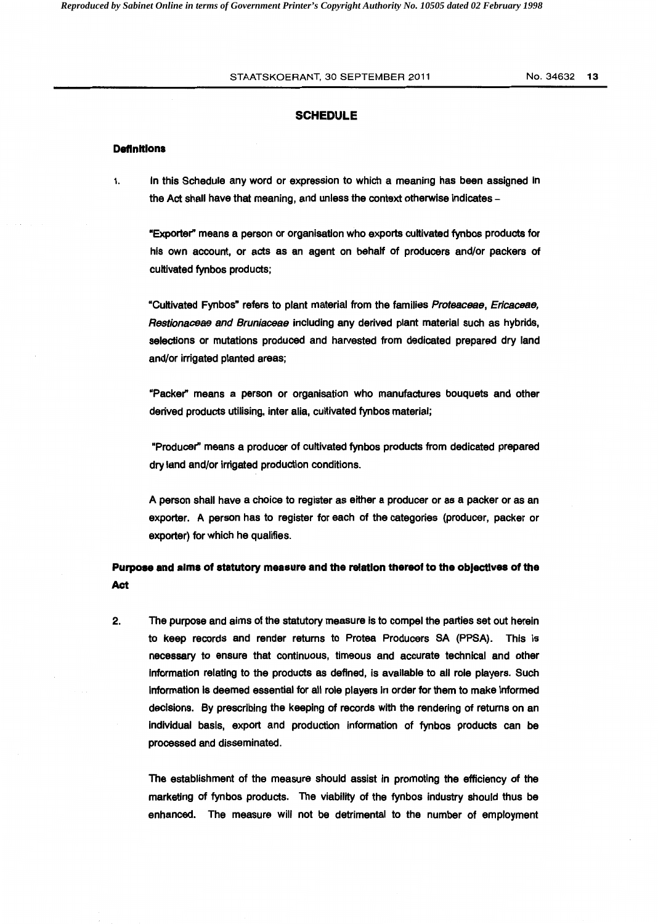#### STAATSKOERANT, 30 SEPTEMBER 2011 No. 34632 13

## **SCHEDULE**

#### **Definitions**

1. In this Schedule any word or expression to which a meaning has been assigned in the Act shall have that meaning, and unless the context otherwise indicates -

"Exporter" means a person or organisation who exports cultivated fynbos products for his own account, or acts as an agent on behalf of producers and/or packers of cultivated fynbos products;

"Cultivated Fynbos" refers to plant material from the families Proteaceae, Ericaceae, Restionaceae and Bruniaceae including any derived plant material such as hybrids, selections or mutations produced and harvested from dedicated prepared dry land and/or irrigated planted areas;

"Packer" means a person or organisation who manufactures bouquets and other derived products utilising, inter alia, cultivated fynbos material;

"Producer'' means a producer of cultivated fynbos products from dedicated prepared dry land and/or irrigated production conditions.

A person shall have a choice to register as either a producer or as a packer or as an exporter. A person has to register for each of the categories (producer, packer or exporter) for which he qualifies.

# **Purpose and alms of statutory measure and the relation thereof to the objectives of the Act**

2. The purpose and aims of the statutory measure is to compel the parties set out herein to keep records and render returns to Protea Producers SA (PPSA). This is necessary to ensure that continuous, timeous and accurate technical and other information relating to the products as defined, is available to all role players. Such information is deemed essential for all role players in order for them to make informed decisions. By prescribing the keeping of records with the rendering of returns on an individual basis, export and production information of fynbos products can be processed and disseminated.

The establishment of the measure should assist in promoting the efficiency of the marketing of fynbos products. The viability of the fynbos industry should thus be enhanced. The measure will not be detrimental to the number of employment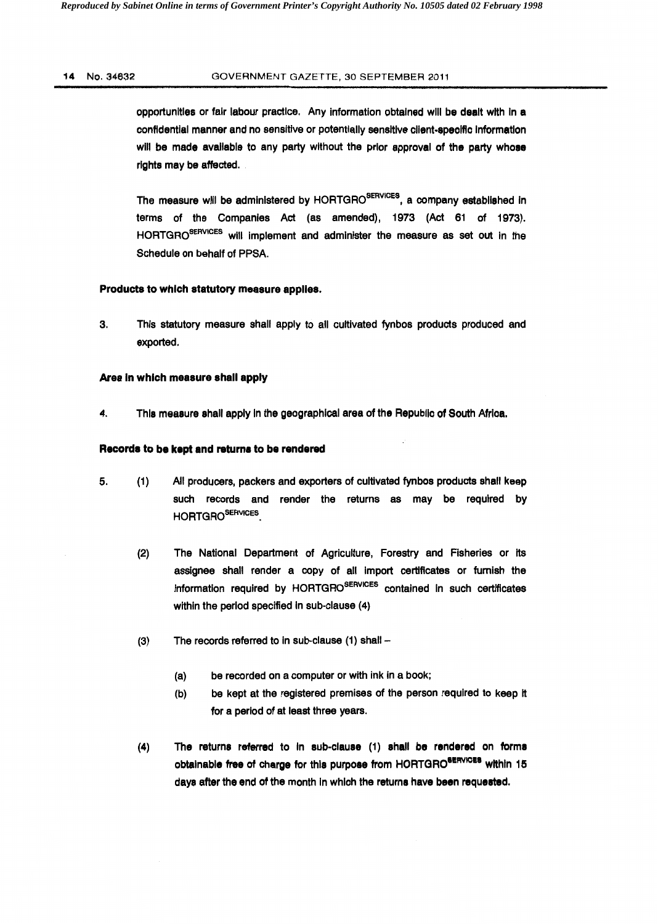### 14 No.34632 GOVERNMENT GAZETTE, 30 SEPTEMBER 2011

opportunities or fair labour practice. Any information obtained will be dealt with In a confidential manner and no sensitive or potentially sensitive client-specific information will be made available to any party without the prior approval of the party whose rights may be affected.

The measure will be administered by HORTGRO<sup>SERVICES</sup>, a company established in terms of the Companies Act (as amended), 1973 (Act 61 of 1973). HORTGRO<sup>SERVICES</sup> will implement and administer the measure as set out in the Schedule on behalf of PPSA.

# Products to which statutory measure applies.

3. This statutory measure shall apply to all cultivated fynbos products produced and exported.

# Area In which measure shall apply

4. This measure shall apply In the geographical area of the Republic of South Africa.

# Recorda to be kept and returns to be rendered

- 5. (1) All producers, packers and exporters of cultivated fynbos products shall keep such records and render the returns as may be required by HORTGROSERVICES.
	- (2) The National Department of Agriculture, Forestry and Fisheries or its assignee shall render a copy of all import certificates or furnish the information required by HORTGRO<sup>SERVICES</sup> contained in such certificates within the period specified in sub-clause (4)
	- $(3)$  The records referred to in sub-clause  $(1)$  shall  $-$ 
		- (a) be recorded on a computer or with ink in a book;
		- (b) be kept at the registered premises of the person required to keep it for a period of at least three years.
	- (4) The returns referred to In sub-clause (1) shall be rendered on forma obtainable free of charge for this purpose from HORTGRO<sup>SERVICES</sup> within 15 days after the end of the month In which the returns have been requested.